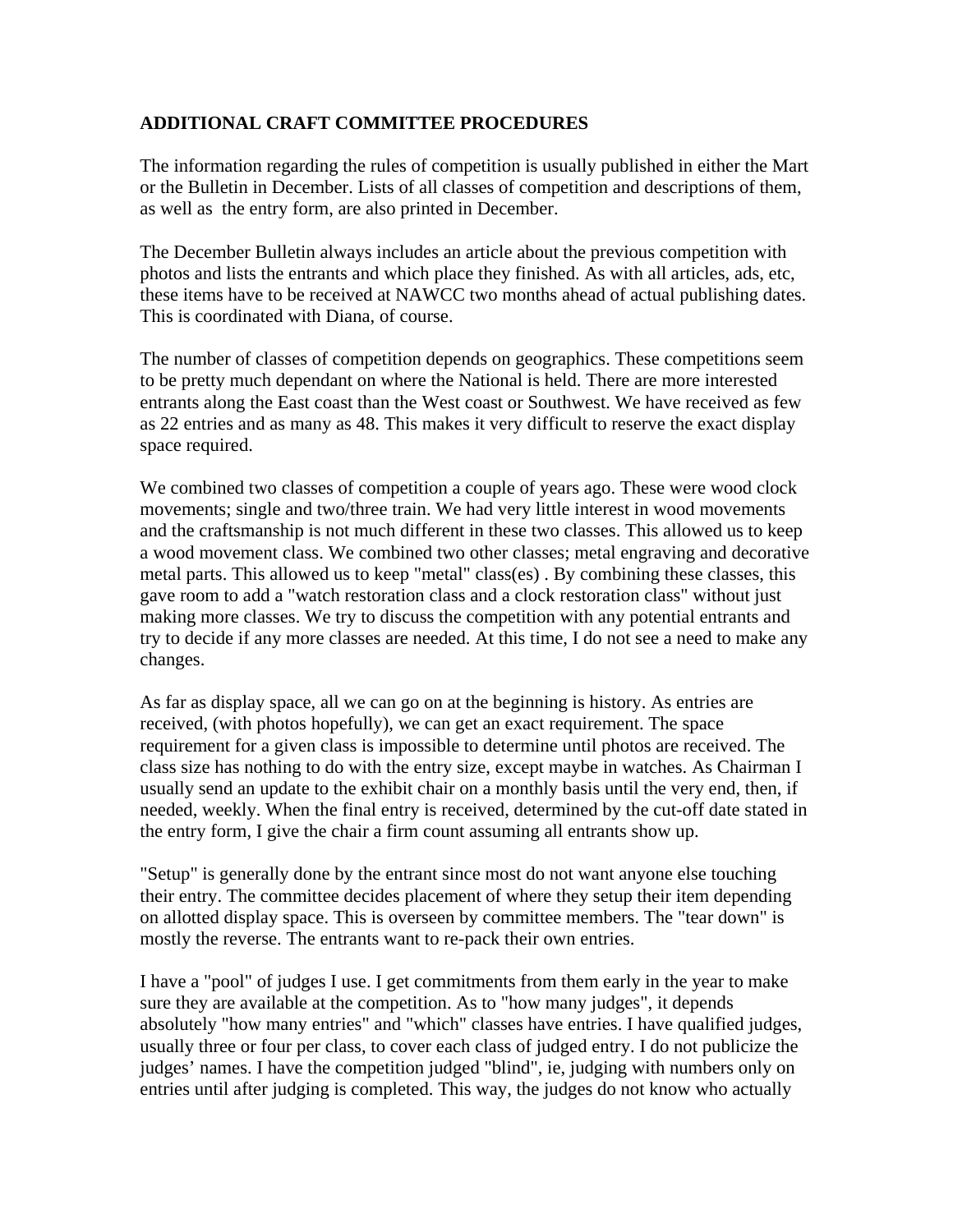## **ADDITIONAL CRAFT COMMITTEE PROCEDURES**

The information regarding the rules of competition is usually published in either the Mart or the Bulletin in December. Lists of all classes of competition and descriptions of them, as well as the entry form, are also printed in December.

The December Bulletin always includes an article about the previous competition with photos and lists the entrants and which place they finished. As with all articles, ads, etc, these items have to be received at NAWCC two months ahead of actual publishing dates. This is coordinated with Diana, of course.

The number of classes of competition depends on geographics. These competitions seem to be pretty much dependant on where the National is held. There are more interested entrants along the East coast than the West coast or Southwest. We have received as few as 22 entries and as many as 48. This makes it very difficult to reserve the exact display space required.

We combined two classes of competition a couple of years ago. These were wood clock movements; single and two/three train. We had very little interest in wood movements and the craftsmanship is not much different in these two classes. This allowed us to keep a wood movement class. We combined two other classes; metal engraving and decorative metal parts. This allowed us to keep "metal" class(es) . By combining these classes, this gave room to add a "watch restoration class and a clock restoration class" without just making more classes. We try to discuss the competition with any potential entrants and try to decide if any more classes are needed. At this time, I do not see a need to make any changes.

As far as display space, all we can go on at the beginning is history. As entries are received, (with photos hopefully), we can get an exact requirement. The space requirement for a given class is impossible to determine until photos are received. The class size has nothing to do with the entry size, except maybe in watches. As Chairman I usually send an update to the exhibit chair on a monthly basis until the very end, then, if needed, weekly. When the final entry is received, determined by the cut-off date stated in the entry form, I give the chair a firm count assuming all entrants show up.

"Setup" is generally done by the entrant since most do not want anyone else touching their entry. The committee decides placement of where they setup their item depending on allotted display space. This is overseen by committee members. The "tear down" is mostly the reverse. The entrants want to re-pack their own entries.

I have a "pool" of judges I use. I get commitments from them early in the year to make sure they are available at the competition. As to "how many judges", it depends absolutely "how many entries" and "which" classes have entries. I have qualified judges, usually three or four per class, to cover each class of judged entry. I do not publicize the judges' names. I have the competition judged "blind", ie, judging with numbers only on entries until after judging is completed. This way, the judges do not know who actually